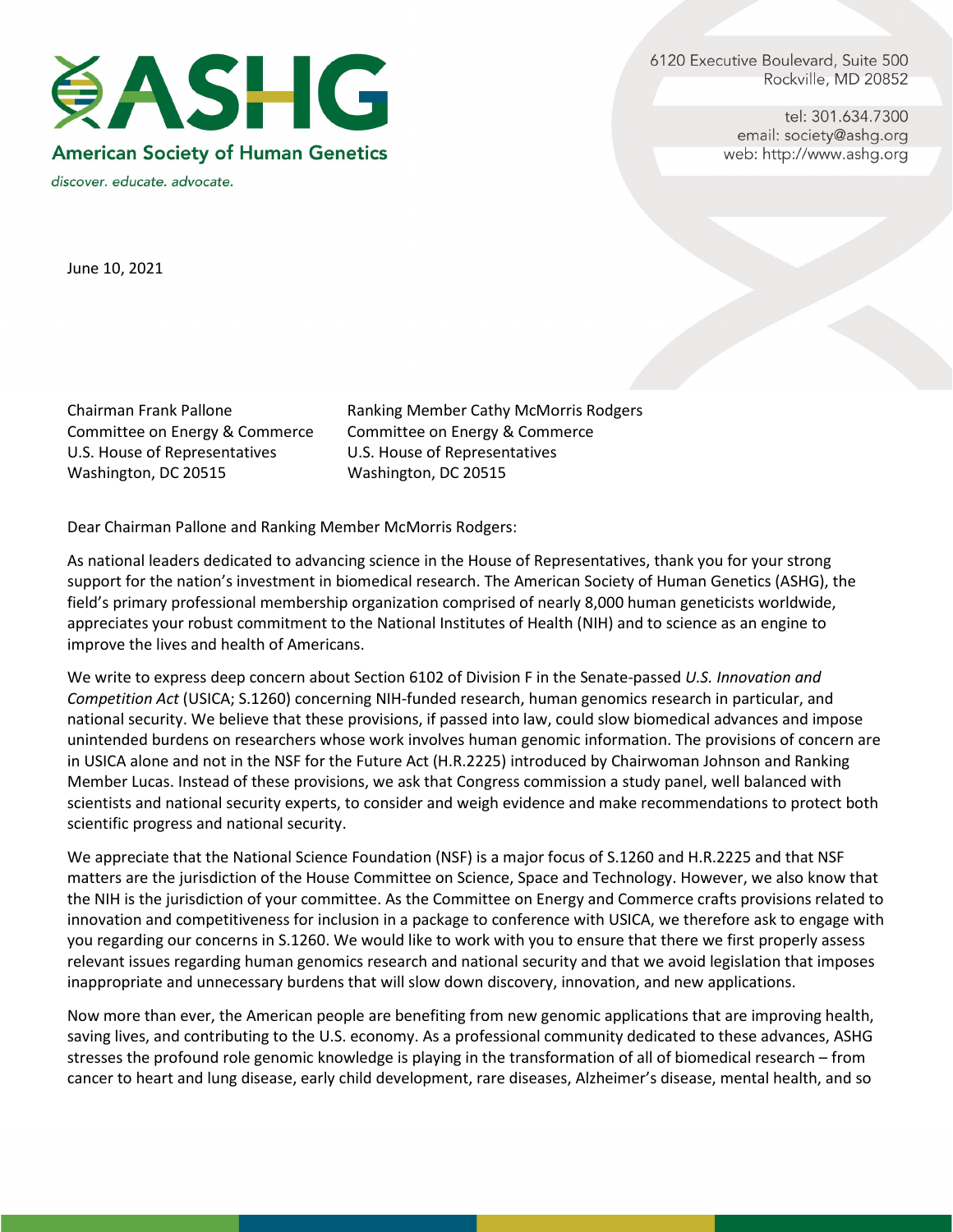6120 Executive Boulevard, Suite 500 Rockville, MD 20852

> tel: 301.634.7300 email: society@ashq.org web: http://www.ashg.org



discover. educate. advocate.

June 10, 2021

Committee on Energy & Commerce Committee on Energy & Commerce U.S. House of Representatives U.S. House of Representatives Washington, DC 20515 Washington, DC 20515

Chairman Frank Pallone **Ranking Member Cathy McMorris Rodgers** 

Dear Chairman Pallone and Ranking Member McMorris Rodgers:

As national leaders dedicated to advancing science in the House of Representatives, thank you for your strong support for the nation's investment in biomedical research. The American Society of Human Genetics (ASHG), the field's primary professional membership organization comprised of nearly 8,000 human geneticists worldwide, appreciates your robust commitment to the National Institutes of Health (NIH) and to science as an engine to improve the lives and health of Americans.

We write to express deep concern about Section 6102 of Division F in the Senate-passed *U.S. Innovation and Competition Act* (USICA; S.1260) concerning NIH-funded research, human genomics research in particular, and national security. We believe that these provisions, if passed into law, could slow biomedical advances and impose unintended burdens on researchers whose work involves human genomic information. The provisions of concern are in USICA alone and not in the NSF for the Future Act (H.R.2225) introduced by Chairwoman Johnson and Ranking Member Lucas. Instead of these provisions, we ask that Congress commission a study panel, well balanced with scientists and national security experts, to consider and weigh evidence and make recommendations to protect both scientific progress and national security.

We appreciate that the National Science Foundation (NSF) is a major focus of S.1260 and H.R.2225 and that NSF matters are the jurisdiction of the House Committee on Science, Space and Technology. However, we also know that the NIH is the jurisdiction of your committee. As the Committee on Energy and Commerce crafts provisions related to innovation and competitiveness for inclusion in a package to conference with USICA, we therefore ask to engage with you regarding our concerns in S.1260. We would like to work with you to ensure that there we first properly assess relevant issues regarding human genomics research and national security and that we avoid legislation that imposes inappropriate and unnecessary burdens that will slow down discovery, innovation, and new applications.

Now more than ever, the American people are benefiting from new genomic applications that are improving health, saving lives, and contributing to the U.S. economy. As a professional community dedicated to these advances, ASHG stresses the profound role genomic knowledge is playing in the transformation of all of biomedical research – from cancer to heart and lung disease, early child development, rare diseases, Alzheimer's disease, mental health, and so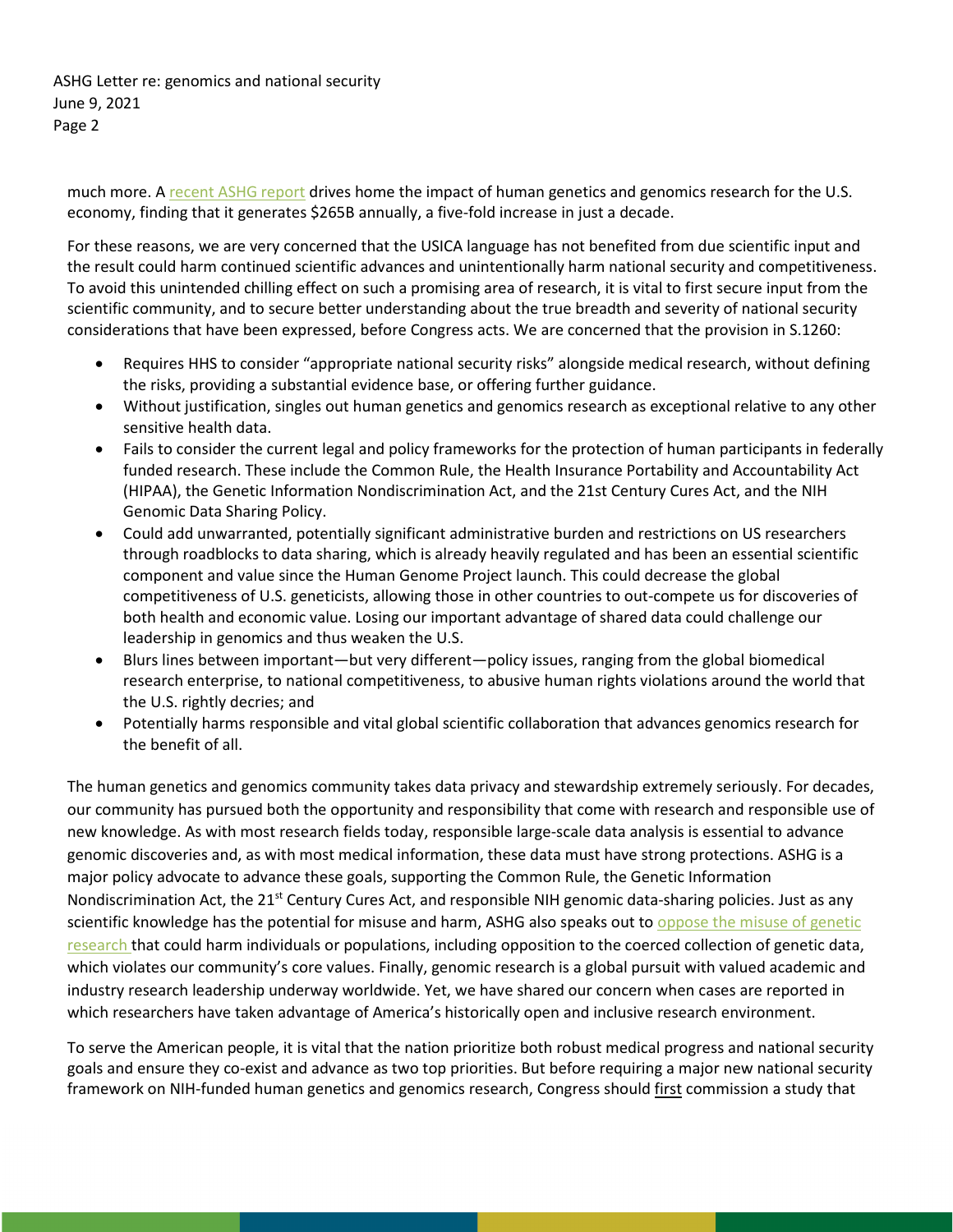ASHG Letter re: genomics and national security June 9, 2021 Page 2

much more. [A recent ASHG report](https://www.ashg.org/advocacy/the-economic-impact/) drives home the impact of human genetics and genomics research for the U.S. economy, finding that it generates \$265B annually, a five-fold increase in just a decade.

For these reasons, we are very concerned that the USICA language has not benefited from due scientific input and the result could harm continued scientific advances and unintentionally harm national security and competitiveness. To avoid this unintended chilling effect on such a promising area of research, it is vital to first secure input from the scientific community, and to secure better understanding about the true breadth and severity of national security considerations that have been expressed, before Congress acts. We are concerned that the provision in S.1260:

- Requires HHS to consider "appropriate national security risks" alongside medical research, without defining the risks, providing a substantial evidence base, or offering further guidance.
- Without justification, singles out human genetics and genomics research as exceptional relative to any other sensitive health data.
- Fails to consider the current legal and policy frameworks for the protection of human participants in federally funded research. These include the Common Rule, the Health Insurance Portability and Accountability Act (HIPAA), the Genetic Information Nondiscrimination Act, and the 21st Century Cures Act, and the NIH Genomic Data Sharing Policy.
- Could add unwarranted, potentially significant administrative burden and restrictions on US researchers through roadblocks to data sharing, which is already heavily regulated and has been an essential scientific component and value since the Human Genome Project launch. This could decrease the global competitiveness of U.S. geneticists, allowing those in other countries to out-compete us for discoveries of both health and economic value. Losing our important advantage of shared data could challenge our leadership in genomics and thus weaken the U.S.
- Blurs lines between important—but very different—policy issues, ranging from the global biomedical research enterprise, to national competitiveness, to abusive human rights violations around the world that the U.S. rightly decries; and
- Potentially harms responsible and vital global scientific collaboration that advances genomics research for the benefit of all.

The human genetics and genomics community takes data privacy and stewardship extremely seriously. For decades, our community has pursued both the opportunity and responsibility that come with research and responsible use of new knowledge. As with most research fields today, responsible large-scale data analysis is essential to advance genomic discoveries and, as with most medical information, these data must have strong protections. ASHG is a major policy advocate to advance these goals, supporting the Common Rule, the Genetic Information Nondiscrimination Act, the 21<sup>st</sup> Century Cures Act, and responsible NIH genomic data-sharing policies. Just as any scientific knowledge has the potential for misuse and harm, ASHG also speaks out to [oppose the misuse of genetic](https://www.cell.com/ajhg/fulltext/S0002-9297(20)30279-2)  [research t](https://www.cell.com/ajhg/fulltext/S0002-9297(20)30279-2)hat could harm individuals or populations, including opposition to the coerced collection of genetic data, which violates our community's core values. Finally, genomic research is a global pursuit with valued academic and industry research leadership underway worldwide. Yet, we have shared our concern when cases are reported in which researchers have taken advantage of America's historically open and inclusive research environment.

To serve the American people, it is vital that the nation prioritize both robust medical progress and national security goals and ensure they co-exist and advance as two top priorities. But before requiring a major new national security framework on NIH-funded human genetics and genomics research, Congress should first commission a study that